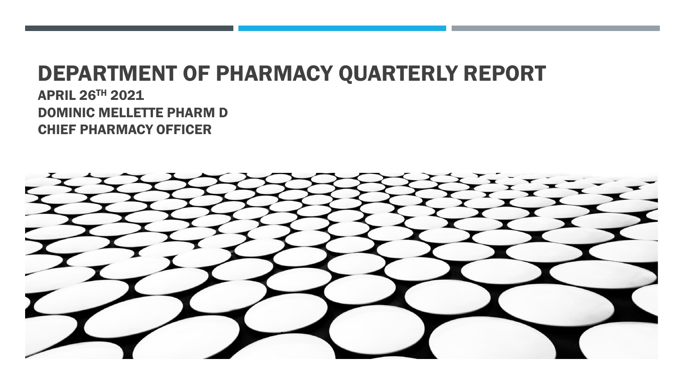## DEPARTMENT OF PHARMACY QUARTERLY REPORT

APRIL 26TH 2021 DOMINIC MELLETTE PHARM D CHIEF PHARMACY OFFICER

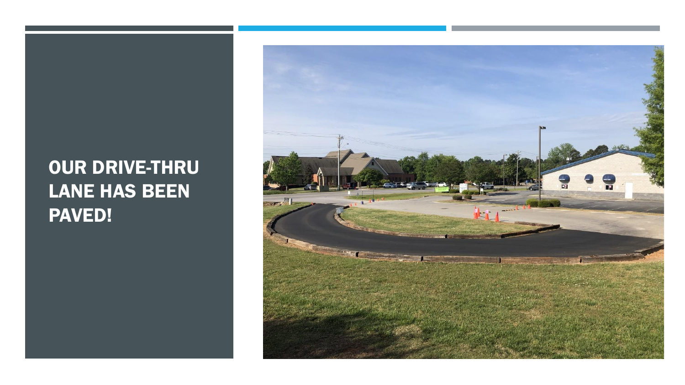## OUR DRIVE-THRU LANE HAS BEEN PAVED!

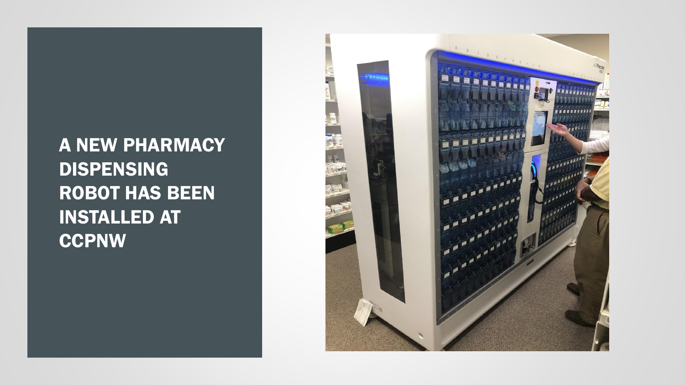A NEW PHARMACY DISPENSING ROBOT HAS BEEN INSTALLED AT **CCPNW** 

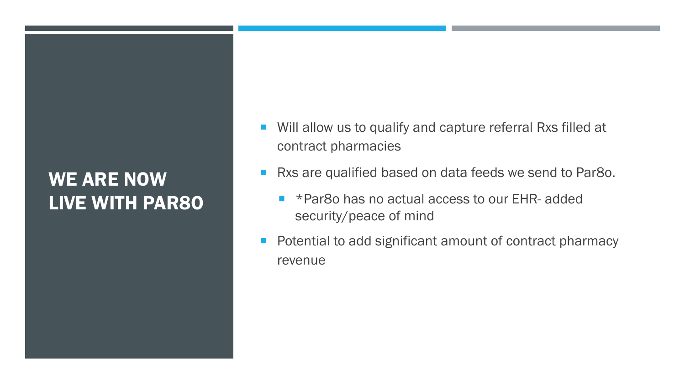## WE ARE NOW LIVE WITH PAR8O

- Will allow us to qualify and capture referral Rxs filled at contract pharmacies
- Rxs are qualified based on data feeds we send to Par8o.
	- \*Par8o has no actual access to our EHR- added security/peace of mind
- **Potential to add significant amount of contract pharmacy** revenue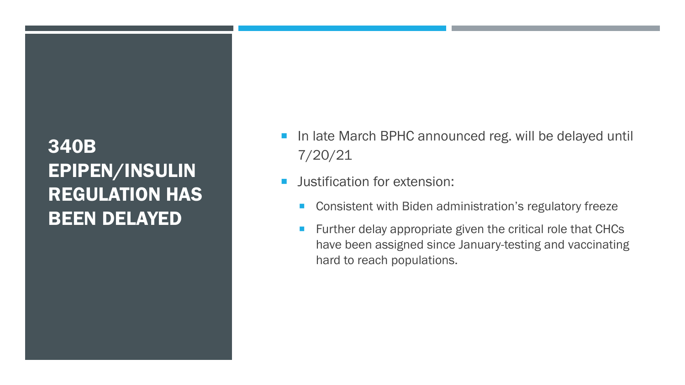## 340B EPIPEN/INSULIN REGULATION HAS BEEN DELAYED

- **In late March BPHC announced reg. will be delayed until** 7/20/21
- **Justification for extension:** 
	- **Consistent with Biden administration's regulatory freeze**
	- **Further delay appropriate given the critical role that CHCs** have been assigned since January-testing and vaccinating hard to reach populations.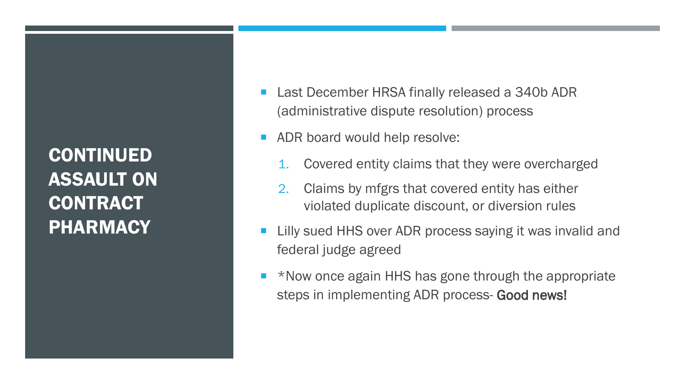CONTINUED ASSAULT ON **CONTRACT PHARMACY** 

- Last December HRSA finally released a 340b ADR (administrative dispute resolution) process
- **ADR board would help resolve:** 
	- Covered entity claims that they were overcharged
	- 2. Claims by mfgrs that covered entity has either violated duplicate discount, or diversion rules
- Lilly sued HHS over ADR process saying it was invalid and federal judge agreed
- \*Now once again HHS has gone through the appropriate steps in implementing ADR process- Good news!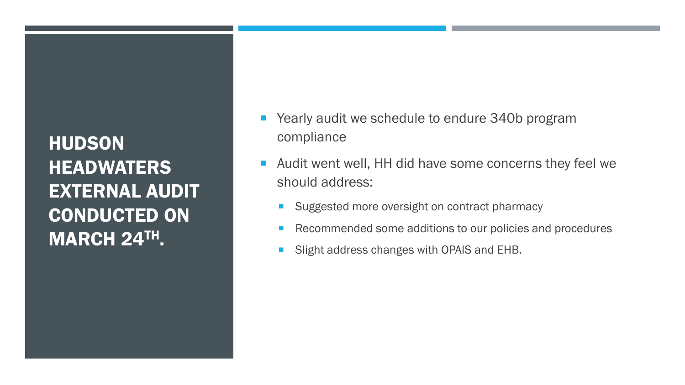HUDSON **HEADWATERS** EXTERNAL AUDIT CONDUCTED ON MARCH 24TH.

- Yearly audit we schedule to endure 340b program compliance
- Audit went well, HH did have some concerns they feel we should address:
	- Suggested more oversight on contract pharmacy
	- Recommended some additions to our policies and procedures
	- **Slight address changes with OPAIS and EHB.**